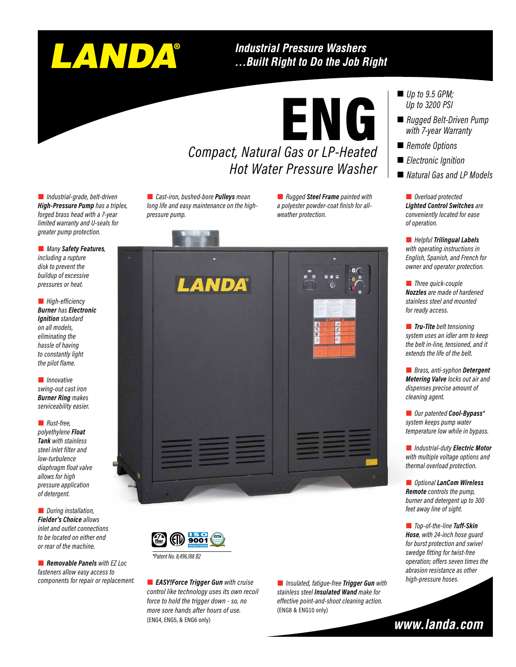# LANDA®

#### **Industrial Pressure Washers** ... Built Right to Do the Job Right

## ENG *Compact, Natural Gas or LP-Heated*

## *Hot Water Pressure Washer*

 *Industrial-grade, belt-driven High-Pressure Pump has a triplex, forged brass head with a 7-year limited warranty and U-seals for greater pump protection.*

 *Many Safety Features, including a rupture disk to prevent the buildup of excessive pressures or heat.*

**High-efficiency** *Burner has Electronic Ignition standard on all models, eliminating the hassle of having to constantly light the pilot flame.*

 *Innovative swing-out cast iron Burner Ring makes serviceability easier.* 

 *Rust-free, polyethylene Float Tank with stainless steel inlet filter and low-turbulence diaphragm float valve allows for high pressure application of detergent.*

 *During installation, Fielder's Choice allows inlet and outlet connections to be located on either end or rear of the machine.*

 *Removable Panels with EZ Loc fasteners allow easy access to components for repair or replacement.*

 *Cast-iron, bushed-bore Pulleys mean long life and easy maintenance on the highpressure pump.*

 *Rugged Steel Frame painted with a polyester powder-coat finish for allweather protection.*





*\*Patent No. 8,496,188 B2*

 *EASY!Force Trigger Gun with cruise control like technology uses its own recoil force to hold the trigger down - so, no more sore hands after hours of use.* (ENG4, ENG5, & ENG6 only)

 *Insulated, fatigue-free Trigger Gun with stainless steel Insulated Wand make for effective point-and-shoot cleaning action.* (ENG8 & ENG10 only)

- *Up to 9.5 GPM: Up to 3200 PSI*
- *Rugged Belt-Driven Pump with 7-year Warranty*
- *Remote Options*
- *Electronic Ignition*
- *Natural Gas and LP Models*

 *Overload protected Lighted Control Switches are conveniently located for ease of operation.* 

 *Helpful Trilingual Labels with operating instructions in English, Spanish, and French for owner and operator protection.*

 *Three quick-couple Nozzles are made of hardened stainless steel and mounted for ready access.* 

 *Tru-Tite belt tensioning system uses an idler arm to keep the belt in-line, tensioned, and it extends the life of the belt.* 

 *Brass, anti-syphon Detergent Metering Valve locks out air and dispenses precise amount of cleaning agent.*

 *Our patented Cool-Bypass\* system keeps pump water temperature low while in bypass.*

 *Industrial-duty Electric Motor with multiple voltage options and thermal overload protection.*

 *Optional LanCom Wireless Remote controls the pump, burner and detergent up to 300 feet away line of sight.* 

 *Top-of-the-line Tuff-Skin Hose, with 24-inch hose guard for burst protection and swivel swedge fitting for twist-free operation; offers seven times the abrasion resistance as other high-pressure hoses.*

www.landa.com